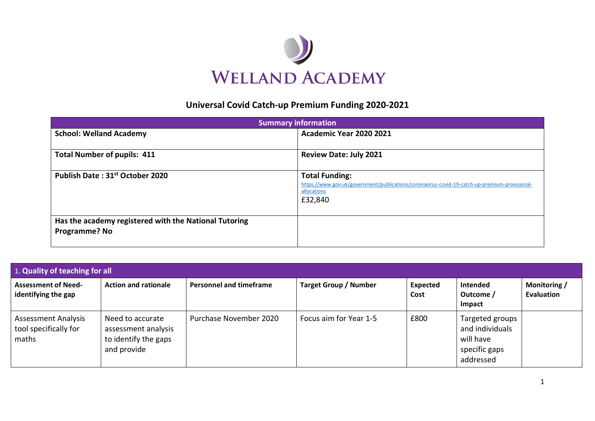

## **Universal Covid Catch-up Premium Funding 2020-2021**

| <b>Summary information</b>                                                    |                                                                                                                                                  |  |  |  |  |
|-------------------------------------------------------------------------------|--------------------------------------------------------------------------------------------------------------------------------------------------|--|--|--|--|
| <b>School: Welland Academy</b>                                                | <b>Academic Year 2020 2021</b>                                                                                                                   |  |  |  |  |
| <b>Total Number of pupils: 411</b>                                            | <b>Review Date: July 2021</b>                                                                                                                    |  |  |  |  |
| Publish Date: 31st October 2020                                               | <b>Total Funding:</b><br>https://www.gov.uk/government/publications/coronavirus-covid-19-catch-up-premium-provisional-<br>allocations<br>£32,840 |  |  |  |  |
| Has the academy registered with the National Tutoring<br><b>Programme? No</b> |                                                                                                                                                  |  |  |  |  |

| 1. Quality of teaching for all                               |                                                                                |                                |                              |                         |                                                                               |                                   |
|--------------------------------------------------------------|--------------------------------------------------------------------------------|--------------------------------|------------------------------|-------------------------|-------------------------------------------------------------------------------|-----------------------------------|
| <b>Assessment of Need-</b><br>identifying the gap            | <b>Action and rationale</b>                                                    | <b>Personnel and timeframe</b> | <b>Target Group / Number</b> | <b>Expected</b><br>Cost | Intended<br>Outcome /<br><b>Impact</b>                                        | Monitoring /<br><b>Evaluation</b> |
| <b>Assessment Analysis</b><br>tool specifically for<br>maths | Need to accurate<br>assessment analysis<br>to identify the gaps<br>and provide | Purchase November 2020         | Focus aim for Year 1-5       | £800                    | Targeted groups<br>and individuals<br>will have<br>specific gaps<br>addressed |                                   |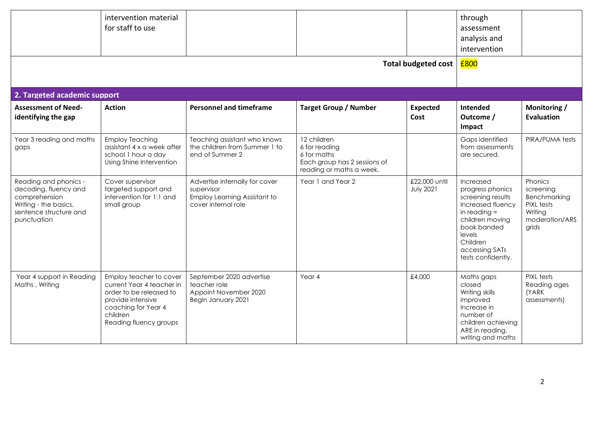| 2. Targeted academic support                                                                                                      | intervention material<br>for staff to use                                                                                                                         |                                                                                                     |                                                                                                         | <b>Total budgeted cost</b>        | through<br>assessment<br>analysis and<br>intervention<br>£800                                                                                                                             |                                                                                          |
|-----------------------------------------------------------------------------------------------------------------------------------|-------------------------------------------------------------------------------------------------------------------------------------------------------------------|-----------------------------------------------------------------------------------------------------|---------------------------------------------------------------------------------------------------------|-----------------------------------|-------------------------------------------------------------------------------------------------------------------------------------------------------------------------------------------|------------------------------------------------------------------------------------------|
| <b>Assessment of Need-</b><br>identifying the gap                                                                                 | <b>Action</b>                                                                                                                                                     | <b>Personnel and timeframe</b>                                                                      | <b>Target Group / Number</b>                                                                            | <b>Expected</b><br>Cost           | Intended<br>Outcome /<br>Impact                                                                                                                                                           | Monitoring /<br><b>Evaluation</b>                                                        |
| Year 3 reading and maths<br>gaps                                                                                                  | <b>Employ Teaching</b><br>assistant 4 x a week after<br>school 1 hour a day<br>Using Shine Intervention                                                           | Teaching assistant who knows<br>the children from Summer 1 to<br>end of Summer 2                    | 12 children<br>6 for reading<br>6 for maths<br>Each group has 2 sessions of<br>reading or maths a week. |                                   | Gaps identified<br>from assessments<br>are secured.                                                                                                                                       | PIRA/PUMA tests                                                                          |
| Reading and phonics -<br>decoding, fluency and<br>comprehension<br>Writing - the basics,<br>sentence structure and<br>punctuation | Cover supervisor<br>targeted support and<br>intervention for 1:1 and<br>small group                                                                               | Advertise internally for cover<br>supervisor<br>Employ Learning Assistant to<br>cover internal role | Year 1 and Year 2                                                                                       | £22,000 until<br><b>July 2021</b> | Increased<br>progress phonics<br>screening results<br>Increased fluency<br>in reading $=$<br>children moving<br>book banded<br>levels<br>Children<br>accessing SATs<br>tests confidently. | Phonics<br>screening<br>Benchmarking<br>PIXL tests<br>Writing<br>moderation/ARS<br>grids |
| Year 4 support in Reading<br>Maths, Writing                                                                                       | Employ teacher to cover<br>current Year 4 teacher in<br>order to be released to<br>provide intensive<br>coaching for Year 4<br>children<br>Reading fluency groups | September 2020 advertise<br>teacher role<br>Appoint November 2020<br>Begin January 2021             | Year 4                                                                                                  | £4,000                            | Maths gaps<br>closed<br>Writing skills<br>improved<br>Increase in<br>number of<br>children achieving<br>ARE in reading,<br>writing and maths                                              | PIXL tests<br>Reading ages<br>(YARK<br>assessments)                                      |